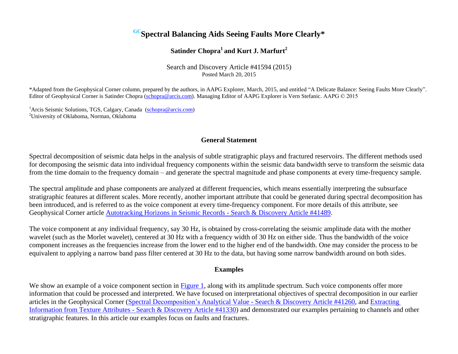# **GCSpectral Balancing Aids Seeing Faults More Clearly\***

## **Satinder Chopra<sup>1</sup>and Kurt J. Marfurt<sup>2</sup>**

Search and Discovery Article #41594 (2015) Posted March 20, 2015

\*Adapted from the Geophysical Corner column, prepared by the authors, in AAPG Explorer, March, 2015, and entitled "A Delicate Balance: Seeing Faults More Clearly". Editor of Geophysical Corner is Satinder Chopra (schopra@arcis.com). Managing Editor of AAPG Explorer is Vern Stefanic. AAPG © 2015

<sup>1</sup>Arcis Seismic Solutions, TGS, Calgary, Canada (schopra@arcis.com) <sup>2</sup>University of Oklahoma, Norman, Oklahoma

### **General Statement**

Spectral decomposition of seismic data helps in the analysis of subtle stratigraphic plays and fractured reservoirs. The different methods used for decomposing the seismic data into individual frequency components within the seismic data bandwidth serve to transform the seismic data from the time domain to the frequency domain – and generate the spectral magnitude and phase components at every time-frequency sample.

The spectral amplitude and phase components are analyzed at different frequencies, which means essentially interpreting the subsurface stratigraphic features at different scales. More recently, another important attribute that could be generated during spectral decomposition has been introduced, and is referred to as the voice component at every time-frequency component. For more details of this attribute, see Geophysical Corner article [Autotracking Horizons in Seismic Records -](http://www.searchanddiscovery.com/documents/2014/41489chopra/chopra.html?q=%2BtextStrip%3A41489) Search & Discovery Article #41489.

The voice component at any individual frequency, say 30 Hz, is obtained by cross-correlating the seismic amplitude data with the mother wavelet (such as the Morlet wavelet), centered at 30 Hz with a frequency width of 30 Hz on either side. Thus the bandwidth of the voice component increases as the frequencies increase from the lower end to the higher end of the bandwidth. One may consider the process to be equivalent to applying a narrow band pass filter centered at 30 Hz to the data, but having some narrow bandwidth around on both sides.

#### **Examples**

We show an example of a voice component section in [Figure 1](#page-3-0), along with its amplitude spectrum. Such voice components offer more information that could be processed and interpreted. We have focused on interpretational objectives of spectral decomposition in our earlier articles in the Geophysical Corner (Spectral Decomposition's Analytical Value - [Search & Discovery Article #41260,](http://www.searchanddiscovery.com/documents/2013/41260chopra/chopra.htm?q=%2BtextStrip%3A41260) and [Extracting](http://www.searchanddiscovery.com/documents/2014/41330chopra/chopra.html?q=%2BtextStrip%3A41330)  [Information from Texture Attributes -](http://www.searchanddiscovery.com/documents/2014/41330chopra/chopra.html?q=%2BtextStrip%3A41330) Search & Discovery Article #41330) and demonstrated our examples pertaining to channels and other stratigraphic features. In this article our examples focus on faults and fractures.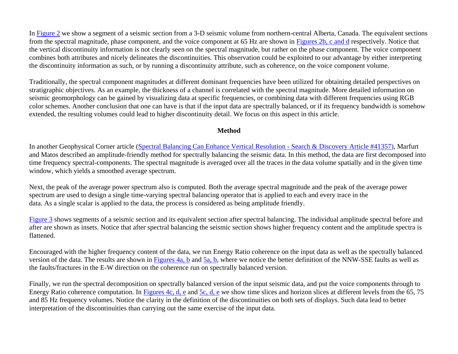In [Figure 2](#page-4-0) we show a segment of a seismic section from a 3-D seismic volume from northern-central Alberta, Canada. The equivalent sections from the spectral magnitude, phase component, and the voice component at 65 Hz are shown in [Figures 2b, c and d](#page-4-0) respectively. Notice that the vertical discontinuity information is not clearly seen on the spectral magnitude, but rather on the phase component. The voice component combines both attributes and nicely delineates the discontinuities. This observation could be exploited to our advantage by either interpreting the discontinuity information as such, or by running a discontinuity attribute, such as coherence, on the voice component volume.

Traditionally, the spectral component magnitudes at different dominant frequencies have been utilized for obtaining detailed perspectives on stratigraphic objectives. As an example, the thickness of a channel is correlated with the spectral magnitude. More detailed information on seismic geomorphology can be gained by visualizing data at specific frequencies, or combining data with different frequencies using RGB color schemes. Another conclusion that one can have is that if the input data are spectrally balanced, or if its frequency bandwidth is somehow extended, the resulting volumes could lead to higher discontinuity detail. We focus on this aspect in this article.

#### **Method**

In another Geophysical Corner article [\(Spectral Balancing Can Enhance Vertical Resolution](http://www.searchanddiscovery.com/documents/2014/41357marfurt/marfurt.html?q=%2BtextStrip%3A41357) - Search & Discovery Article #41357), Marfurt and Matos described an amplitude-friendly method for spectrally balancing the seismic data. In this method, the data are first decomposed into time frequency spectral-components. The spectral magnitude is averaged over all the traces in the data volume spatially and in the given time window, which yields a smoothed average spectrum.

Next, the peak of the average power spectrum also is computed. Both the average spectral magnitude and the peak of the average power spectrum are used to design a single time-varying spectral balancing operator that is applied to each and every trace in the data. As a single scalar is applied to the data, the process is considered as being amplitude friendly.

[Figure 3](#page-5-0) shows segments of a seismic section and its equivalent section after spectral balancing. The individual amplitude spectral before and after are shown as insets. Notice that after spectral balancing the seismic section shows higher frequency content and the amplitude spectra is flattened.

Encouraged with the higher frequency content of the data, we run Energy Ratio coherence on the input data as well as the spectrally balanced version of the data. The results are shown in [Figures 4a, b](#page-6-0) and [5a, b,](#page-7-0) where we notice the better definition of the NNW-SSE faults as well as the faults/fractures in the E-W direction on the coherence run on spectrally balanced version.

Finally, we run the spectral decomposition on spectrally balanced version of the input seismic data, and put the voice components through to Energy Ratio coherence computation. In Figures 4c,  $d$ ,  $e$  and  $5c$ ,  $d$ ,  $e$  we show time slices and horizon slices at different levels from the 65, 75 and 85 Hz frequency volumes. Notice the clarity in the definition of the discontinuities on both sets of displays. Such data lead to better interpretation of the discontinuities than carrying out the same exercise of the input data.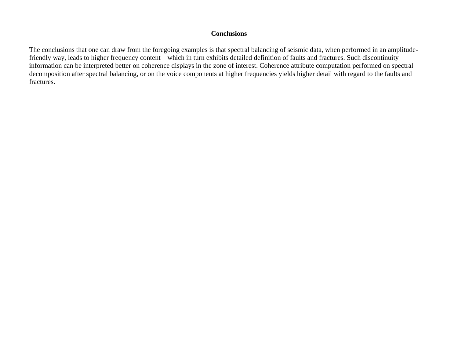#### **Conclusions**

The conclusions that one can draw from the foregoing examples is that spectral balancing of seismic data, when performed in an amplitudefriendly way, leads to higher frequency content – which in turn exhibits detailed definition of faults and fractures. Such discontinuity information can be interpreted better on coherence displays in the zone of interest. Coherence attribute computation performed on spectral decomposition after spectral balancing, or on the voice components at higher frequencies yields higher detail with regard to the faults and fractures.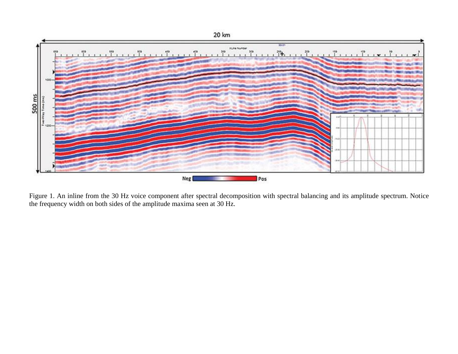<span id="page-3-0"></span>

Figure 1. An inline from the 30 Hz voice component after spectral decomposition with spectral balancing and its amplitude spectrum. Notice the frequency width on both sides of the amplitude maxima seen at 30 Hz.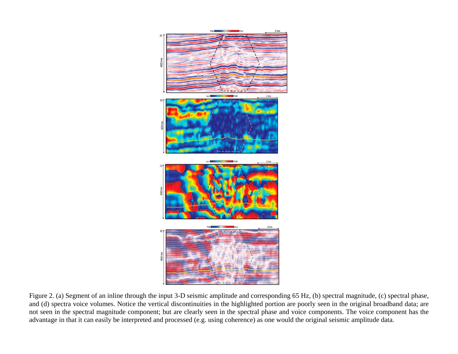<span id="page-4-0"></span>

Figure 2. (a) Segment of an inline through the input 3-D seismic amplitude and corresponding 65 Hz, (b) spectral magnitude, (c) spectral phase, and (d) spectra voice volumes. Notice the vertical discontinuities in the highlighted portion are poorly seen in the original broadband data; are not seen in the spectral magnitude component; but are clearly seen in the spectral phase and voice components. The voice component has the advantage in that it can easily be interpreted and processed (e.g. using coherence) as one would the original seismic amplitude data.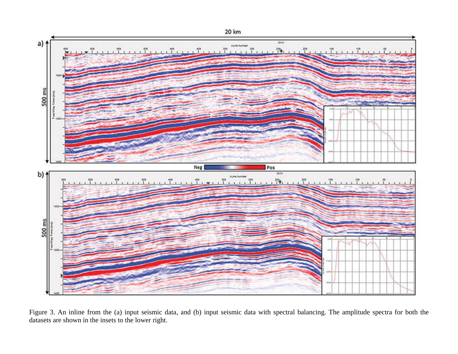<span id="page-5-0"></span>

Figure 3. An inline from the (a) input seismic data, and (b) input seismic data with spectral balancing. The amplitude spectra for both the datasets are shown in the insets to the lower right.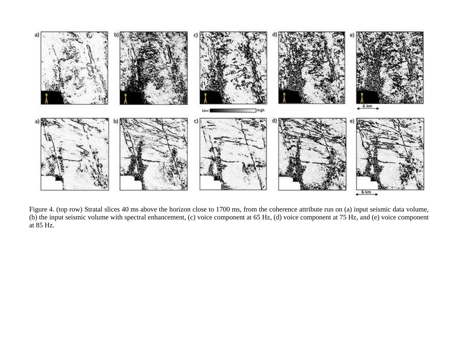<span id="page-6-0"></span>

Figure 4. (top row) Stratal slices 40 ms above the horizon close to 1700 ms, from the coherence attribute run on (a) input seismic data volume, (b) the input seismic volume with spectral enhancement, (c) voice component at 65 Hz, (d) voice component at 75 Hz, and (e) voice component at 85 Hz.